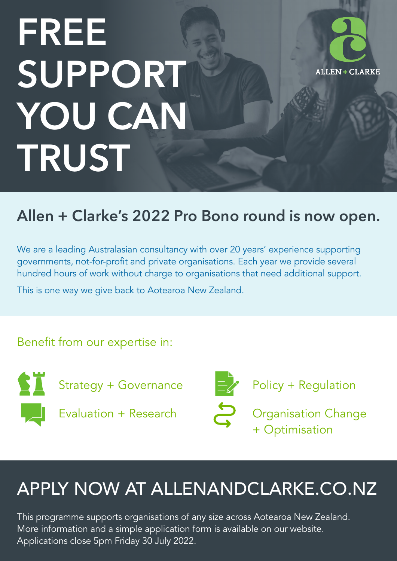# FREE SUPPORT YOU CAN TRUST



### Allen + Clarke's 2022 Pro Bono round is now open.

We are a leading Australasian consultancy with over 20 years' experience supporting governments, not-for-profit and private organisations. Each year we provide several hundred hours of work without charge to organisations that need additional support.

This is one way we give back to Aotearoa New Zealand.

#### Benefit from our expertise in:



Strategy + Governance

Evaluation + Research



Policy + Regulation

Organisation Change + Optimisation

## APPLY NOW AT ALLENANDCLARKE.CO.NZ

This programme supports organisations of any size across Aotearoa New Zealand. More information and a simple application form is available on our website. Applications close 5pm Friday 30 July 2022.